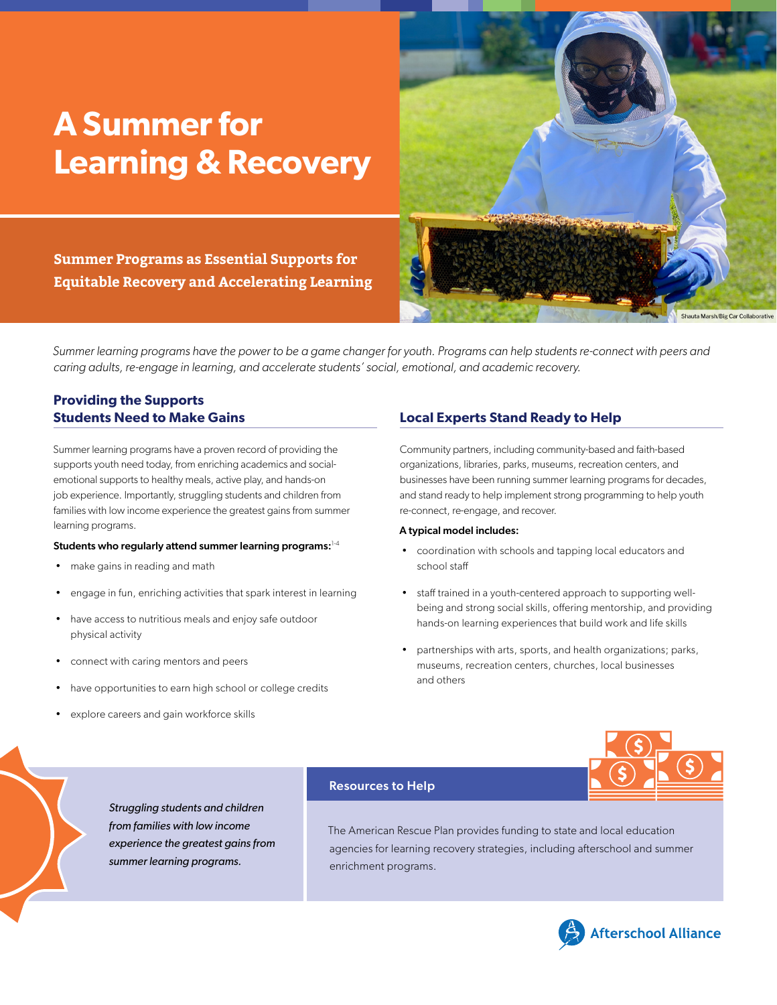# <span id="page-0-0"></span>**A Summer for Learning & Recovery**

Shauta Marsh/Big Car Collaborative

**Summer Programs as Essential Supports for Equitable Recovery and Accelerating Learning**

*Summer learning programs have the power to be a game changer for youth. Programs can help students re-connect with peers and caring adults, re-engage in learning, and accelerate students' social, emotional, and academic recovery.*

# **Providing the Supports Students Need to Make Gains**

Summer learning programs have a proven record of providing the supports youth need today, from enriching academics and socialemotional supports to healthy meals, active play, and hands-on job experience. Importantly, struggling students and children from families with low income experience the greatest gains from summer learning programs.

### Students who regularly attend summer learning programs: $^{\text{1-4}}$  $^{\text{1-4}}$  $^{\text{1-4}}$  $^{\text{1-4}}$

- make gains in reading and math
- engage in fun, enriching activities that spark interest in learning
- have access to nutritious meals and enjoy safe outdoor physical activity
- connect with caring mentors and peers
- have opportunities to earn high school or college credits
- explore careers and gain workforce skills

### **Local Experts Stand Ready to Help**

Community partners, including community-based and faith-based organizations, libraries, parks, museums, recreation centers, and businesses have been running summer learning programs for decades, and stand ready to help implement strong programming to help youth re-connect, re-engage, and recover.

### A typical model includes:

- coordination with schools and tapping local educators and school staff
- staff trained in a youth-centered approach to supporting wellbeing and strong social skills, offering mentorship, and providing hands-on learning experiences that build work and life skills
- partnerships with arts, sports, and health organizations; parks, museums, recreation centers, churches, local businesses and others

### *Struggling students and children from families with low income experience the greatest gains from summer learning programs.*

### Resources to Help

The American Rescue Plan provides funding to state and local education agencies for learning recovery strategies, including afterschool and summer enrichment programs.

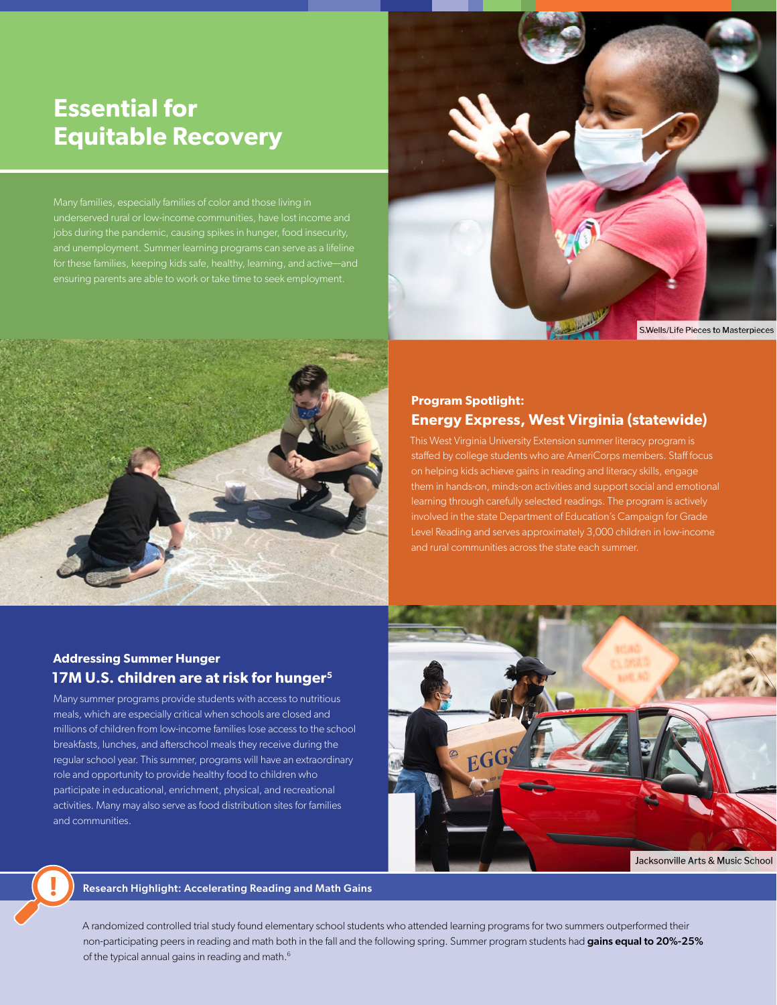# <span id="page-1-0"></span>**Essential for Equitable Recovery**

jobs during the pandemic, causing spikes in hunger, food insecurity, and unemployment. Summer learning programs can serve as a lifeline ensuring parents are able to work or take time to seek employment.



S.Wells/Life Pieces to Masterpieces



# **Program Spotlight: Energy Express, West Virginia (statewide)**

This West Virginia University Extension summer literacy program is staffed by college students who are AmeriCorps members. Staff focus on helping kids achieve gains in reading and literacy skills, engage them in hands-on, minds-on activities and support social and emotional learning through carefully selected readings. The program is actively involved in the state Department of Education's Campaign for Grade Level Reading and serves approximately 3,000 children in low-income and rural communities across the state each summer.

### **Addressing Summer Hunger 17M U.S. children are at risk for hunger[5](#page-2-0)**

Many summer programs provide students with access to nutritious meals, which are especially critical when schools are closed and millions of children from low-income families lose access to the school breakfasts, lunches, and afterschool meals they receive during the regular school year. This summer, programs will have an extraordinary role and opportunity to provide healthy food to children who participate in educational, enrichment, physical, and recreational activities. Many may also serve as food distribution sites for families and communities.



Research Highlight: Accelerating Reading and Math Gains

A randomized controlled trial study found elementary school students who attended learning programs for two summers outperformed their non-participating peers in reading and math both in the fall and the following spring. Summer program students had gains equal to 20%-25% of the typical annual gains in reading and math.<sup>6</sup>